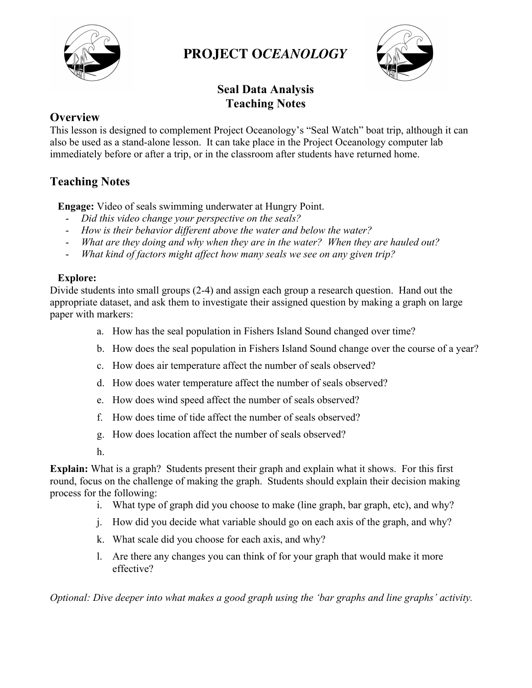

# **PROJECT O***CEANOLOGY*



## **Seal Data Analysis Teaching Notes**

### **Overview**

This lesson is designed to complement Project Oceanology's "Seal Watch" boat trip, although it can also be used as a stand-alone lesson. It can take place in the Project Oceanology computer lab immediately before or after a trip, or in the classroom after students have returned home.

### **Teaching Notes**

**Engage:** Video of seals swimming underwater at Hungry Point.

- *Did this video change your perspective on the seals?*
- *How is their behavior different above the water and below the water?*
- *What are they doing and why when they are in the water? When they are hauled out?*
- *What kind of factors might affect how many seals we see on any given trip?*

#### **Explore:**

Divide students into small groups (2-4) and assign each group a research question. Hand out the appropriate dataset, and ask them to investigate their assigned question by making a graph on large paper with markers:

- a. How has the seal population in Fishers Island Sound changed over time?
- b. How does the seal population in Fishers Island Sound change over the course of a year?
- c. How does air temperature affect the number of seals observed?
- d. How does water temperature affect the number of seals observed?
- e. How does wind speed affect the number of seals observed?
- f. How does time of tide affect the number of seals observed?
- g. How does location affect the number of seals observed?
- h.

**Explain:** What is a graph? Students present their graph and explain what it shows. For this first round, focus on the challenge of making the graph. Students should explain their decision making process for the following:

- i. What type of graph did you choose to make (line graph, bar graph, etc), and why?
- j. How did you decide what variable should go on each axis of the graph, and why?
- k. What scale did you choose for each axis, and why?
- l. Are there any changes you can think of for your graph that would make it more effective?

*Optional: Dive deeper into what makes a good graph using the 'bar graphs and line graphs' activity.*